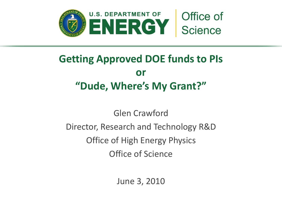

# **Getting Approved DOE funds to PIs or "Dude, Where's My Grant?"**

Glen Crawford Director, Research and Technology R&D Office of High Energy Physics Office of Science

June 3, 2010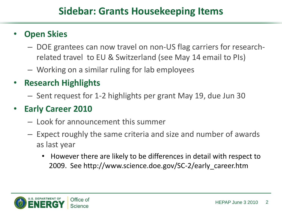# • **Open Skies**

- DOE grantees can now travel on non-US flag carriers for researchrelated travel to EU & Switzerland (see May 14 email to PIs)
- Working on a similar ruling for lab employees
- **Research Highlights**
	- Sent request for 1-2 highlights per grant May 19, due Jun 30

#### • **Early Career 2010**

- Look for announcement this summer
- Expect roughly the same criteria and size and number of awards as last year
	- However there are likely to be differences in detail with respect to 2009. See http://www.science.doe.gov/SC-2/early\_career.htm

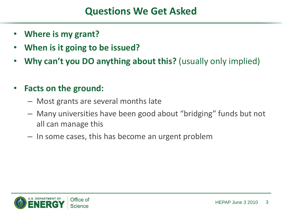# **Questions We Get Asked**

- **Where is my grant?**
- **When is it going to be issued?**
- **Why can't you DO anything about this?** (usually only implied)
- **Facts on the ground:**
	- Most grants are several months late
	- Many universities have been good about "bridging" funds but not all can manage this
	- In some cases, this has become an urgent problem

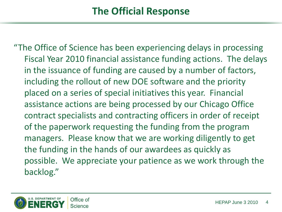"The Office of Science has been experiencing delays in processing Fiscal Year 2010 financial assistance funding actions. The delays in the issuance of funding are caused by a number of factors, including the rollout of new DOE software and the priority placed on a series of special initiatives this year. Financial assistance actions are being processed by our Chicago Office contract specialists and contracting officers in order of receipt of the paperwork requesting the funding from the program managers. Please know that we are working diligently to get the funding in the hands of our awardees as quickly as possible. We appreciate your patience as we work through the backlog."

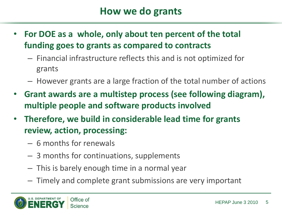- **For DOE as a whole, only about ten percent of the total funding goes to grants as compared to contracts**
	- Financial infrastructure reflects this and is not optimized for grants
	- However grants are a large fraction of the total number of actions
- **Grant awards are a multistep process (see following diagram), multiple people and software products involved**
- **Therefore, we build in considerable lead time for grants review, action, processing:**
	- 6 months for renewals
	- 3 months for continuations, supplements
	- This is barely enough time in a normal year
	- Timely and complete grant submissions are very important

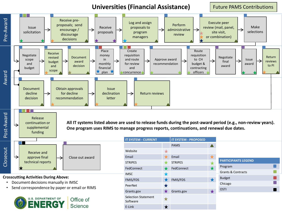**Universities (Financial Assistance)** Future PAMS Contributions Pre-Award Receive pre-Log and assign Execute peer proposals; send Perform Receive proposals to review (mail, panel, Make Issue encourage / administrative → selections solicitation proposals program site visit, discourage review or combination) managers decisions Place Create Route Receive Negotiate money requisition requisition Document Negotiate Return revised scope in and route Approve award to CH Issue  $\rightarrow$  $\rightarrow$ → budget award final reviews and monthly for review recommendation budget & award to PI and decision award budget financial and contracting scope Award plan X officers concurrence Obtain approvals Document Issue decline for decline declination  $\rightarrow$ Return reviews recommendation letter decision Post-Award Release **All IT systems listed above are used to release funds during the post-award period (e.g., non-review years).** continuation or → supplemental **One program uses RIMS to manage progress reports, continuations, and renewal due dates.** funding **IT SYSTEM - CURRENT IT SYSTEM - PROPOSED** PAMS  $\blacktriangle$ Closeout Website Receive and  $\bigstar$ Email **Email** approve final Close out award **PARTICIPANTS LEGEND** technical reports STRIPES **STRIPES**  $\bigstar$ Program  $\bigstar$ h. FedConnect **FedConnect** Grants & Contracts IMSC **Crosscutting Activities During Above:** Budget  $\bigstar$ FMIS/FDS FMIS/FDS • Document decisions manually in IMSC Chicago PeerNet

Grants.gov **Grants.gov** 

 $\bigstar$ 

 $\bigstar$ 

Selection Statement

Software E-Link

**OSTI** 

 $\bigstar$ 

• Send correspondence by paper or email or RIMS

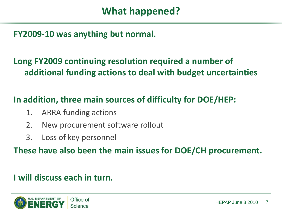#### **FY2009-10 was anything but normal.**

## **Long FY2009 continuing resolution required a number of additional funding actions to deal with budget uncertainties**

#### **In addition, three main sources of difficulty for DOE/HEP:**

- 1. ARRA funding actions
- 2. New procurement software rollout
- 3. Loss of key personnel

**These have also been the main issues for DOE/CH procurement.** 

#### **I will discuss each in turn.**

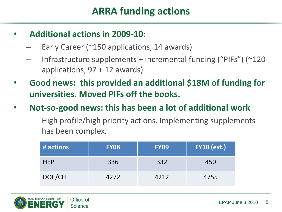# **ARRA funding actions**

- **Additional actions in 2009-10:**
	- Early Career ( $\sim$ 150 applications, 14 awards)
	- Infrastructure supplements + incremental funding ("PIFs") (~120 applications, 97 + 12 awards)
- **Good news: this provided an additional \$18M of funding for universities. Moved PIFs off the books.**
- **Not-so-good news: this has been a lot of additional work**
	- High profile/high priority actions. Implementing supplements has been complex.

| # actions  | <b>FY08</b> | <b>FY09</b> | <b>FY10 (est.)</b> |
|------------|-------------|-------------|--------------------|
| <b>HEP</b> | 336         | 332         | 450                |
| DOE/CH     | 4272        | 4212        | 4755               |

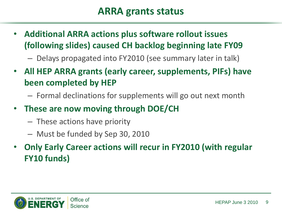# **ARRA grants status**

• **Additional ARRA actions plus software rollout issues (following slides) caused CH backlog beginning late FY09**

– Delays propagated into FY2010 (see summary later in talk)

- **All HEP ARRA grants (early career, supplements, PIFs) have been completed by HEP**
	- Formal declinations for supplements will go out next month
- **These are now moving through DOE/CH** 
	- These actions have priority
	- Must be funded by Sep 30, 2010
- **Only Early Career actions will recur in FY2010 (with regular FY10 funds)**

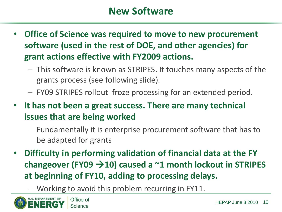- **Office of Science was required to move to new procurement software (used in the rest of DOE, and other agencies) for grant actions effective with FY2009 actions.** 
	- This software is known as STRIPES. It touches many aspects of the grants process (see following slide).
	- FY09 STRIPES rollout froze processing for an extended period.
- **It has not been a great success. There are many technical issues that are being worked**
	- Fundamentally it is enterprise procurement software that has to be adapted for grants
- **Difficulty in performing validation of financial data at the FY changeover (FY09 10) caused a ~1 month lockout in STRIPES at beginning of FY10, adding to processing delays.**
	- Working to avoid this problem recurring in FY11.

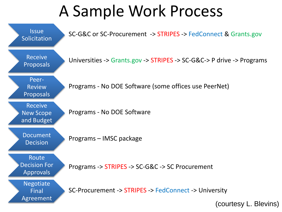# A Sample Work Process



(courtesy L. Blevins)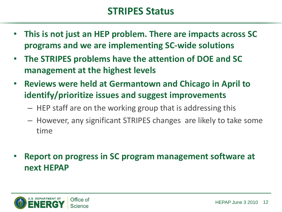## **STRIPES Status**

- **This is not just an HEP problem. There are impacts across SC programs and we are implementing SC-wide solutions**
- **The STRIPES problems have the attention of DOE and SC management at the highest levels**
- **Reviews were held at Germantown and Chicago in April to identify/prioritize issues and suggest improvements**
	- HEP staff are on the working group that is addressing this
	- However, any significant STRIPES changes are likely to take some time
- **Report on progress in SC program management software at next HEPAP**

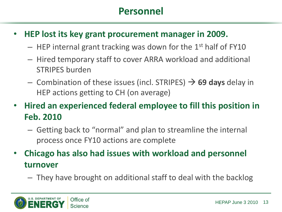# **Personnel**

- **HEP lost its key grant procurement manager in 2009.** 
	- $-$  HEP internal grant tracking was down for the 1<sup>st</sup> half of FY10
	- Hired temporary staff to cover ARRA workload and additional STRIPES burden
	- $-$  Combination of these issues (incl. STRIPES)  $\rightarrow$  69 days delay in HEP actions getting to CH (on average)

• **Hired an experienced federal employee to fill this position in Feb. 2010** 

- Getting back to "normal" and plan to streamline the internal process once FY10 actions are complete
- **Chicago has also had issues with workload and personnel turnover**
	- They have brought on additional staff to deal with the backlog

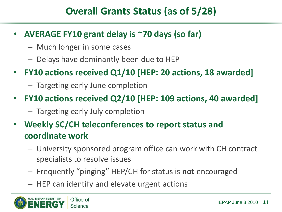# **Overall Grants Status (as of 5/28)**

- **AVERAGE FY10 grant delay is ~70 days (so far)**
	- Much longer in some cases
	- Delays have dominantly been due to HEP
- **FY10 actions received Q1/10 [HEP: 20 actions, 18 awarded]**
	- Targeting early June completion
- **FY10 actions received Q2/10 [HEP: 109 actions, 40 awarded]**
	- Targeting early July completion
- **Weekly SC/CH teleconferences to report status and coordinate work**
	- University sponsored program office can work with CH contract specialists to resolve issues
	- Frequently "pinging" HEP/CH for status is **not** encouraged
	- HEP can identify and elevate urgent actions